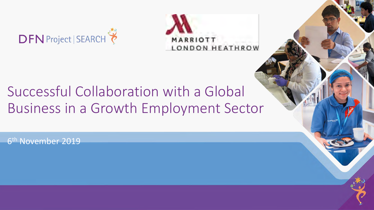



# Successful Collaboration with a Global Business in a Growth Employment Sector

6<sup>th</sup> November 2019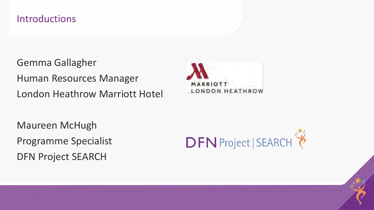## Introductions

Gemma Gallagher Human Resources Manager London Heathrow Marriott Hotel



Maureen McHugh Programme Specialist DFN Project SEARCH



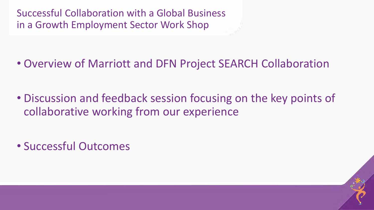Successful Collaboration with a Global Business in a Growth Employment Sector Work Shop

- Overview of Marriott and DFN Project SEARCH Collaboration
- Discussion and feedback session focusing on the key points of collaborative working from our experience

• Successful Outcomes

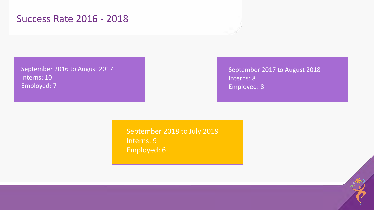### Success Rate 2016 - 2018



September 2016 to August 2017 Interns: 10 Employed: 7

September 2017 to August 2018 Interns: 8 Employed: 8

September 2018 to July 2019 Interns: 9 Employed: 6

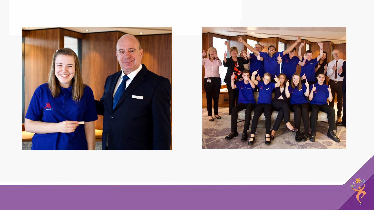

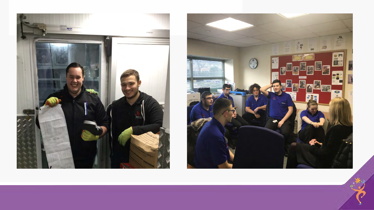



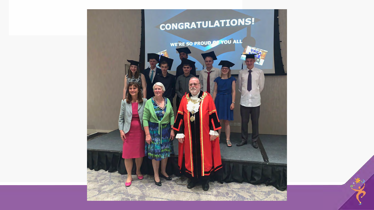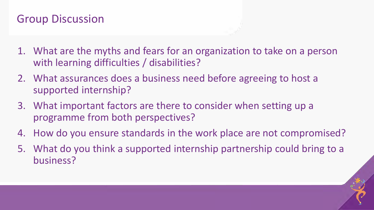# Group Discussion

- 1. What are the myths and fears for an organization to take on a person with learning difficulties / disabilities?
- 2. What assurances does a business need before agreeing to host a supported internship?
- 3. What important factors are there to consider when setting up a programme from both perspectives?
- 4. How do you ensure standards in the work place are not compromised?
- 5. What do you think a supported internship partnership could bring to a business?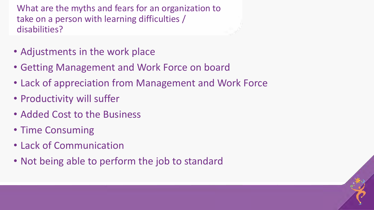What are the myths and fears for an organization to take on a person with learning difficulties / disabilities?

- Adjustments in the work place
- Getting Management and Work Force on board
- Lack of appreciation from Management and Work Force
- Productivity will suffer
- Added Cost to the Business
- Time Consuming
- Lack of Communication
- Not being able to perform the job to standard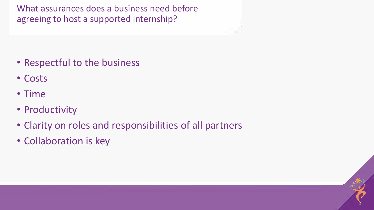What assurances does a business need before agreeing to host a supported internship?

- Respectful to the business
- Costs
- Time
- Productivity
- Clarity on roles and responsibilities of all partners
- Collaboration is key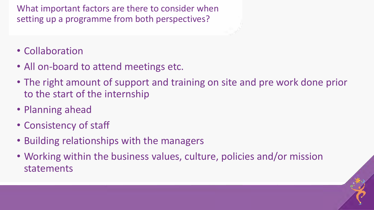What important factors are there to consider when setting up a programme from both perspectives?

- Collaboration
- All on-board to attend meetings etc.
- The right amount of support and training on site and pre work done prior to the start of the internship
- Planning ahead
- Consistency of staff
- Building relationships with the managers
- Working within the business values, culture, policies and/or mission statements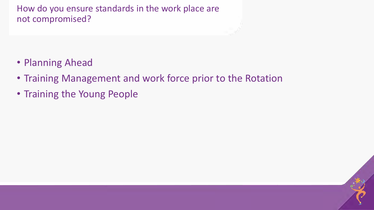How do you ensure standards in the work place are not compromised?

- Planning Ahead
- Training Management and work force prior to the Rotation
- Training the Young People

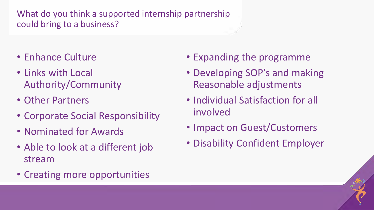### What do you think a supported internship partnership could bring to a business?

- Enhance Culture
- Links with Local Authority/Community
- Other Partners
- Corporate Social Responsibility
- Nominated for Awards
- Able to look at a different job stream
- Creating more opportunities
- Expanding the programme
- Developing SOP's and making Reasonable adjustments
- Individual Satisfaction for all involved
- Impact on Guest/Customers
- Disability Confident Employer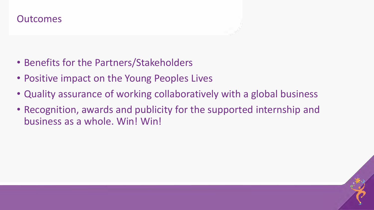- Benefits for the Partners/Stakeholders
- Positive impact on the Young Peoples Lives
- Quality assurance of working collaboratively with a global business
- Recognition, awards and publicity for the supported internship and business as a whole. Win! Win!